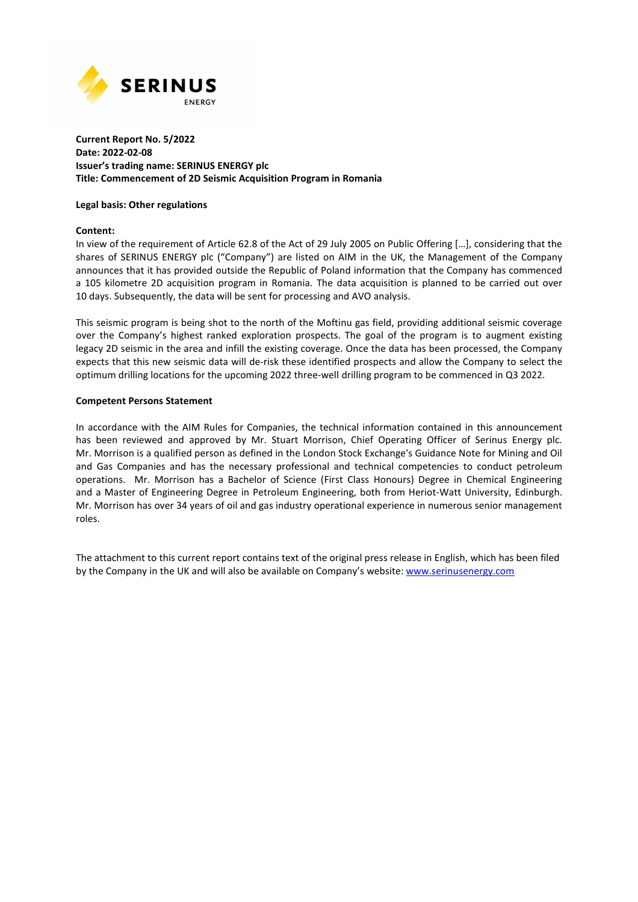

## **Current Report No. 5/2022 Date: 2022-02-08 Issuer's trading name: SERINUS ENERGY plc Title: Commencement of 2D Seismic Acquisition Program in Romania**

#### **Legal basis: Other regulations**

### **Content:**

In view of the requirement of Article 62.8 of the Act of 29 July 2005 on Public Offering […], considering that the shares of SERINUS ENERGY plc ("Company") are listed on AIM in the UK, the Management of the Company announces that it has provided outside the Republic of Poland information that the Company has commenced a 105 kilometre 2D acquisition program in Romania. The data acquisition is planned to be carried out over 10 days. Subsequently, the data will be sent for processing and AVO analysis.

This seismic program is being shot to the north of the Moftinu gas field, providing additional seismic coverage over the Company's highest ranked exploration prospects. The goal of the program is to augment existing legacy 2D seismic in the area and infill the existing coverage. Once the data has been processed, the Company expects that this new seismic data will de-risk these identified prospects and allow the Company to select the optimum drilling locations for the upcoming 2022 three-well drilling program to be commenced in Q3 2022.

### **Competent Persons Statement**

In accordance with the AIM Rules for Companies, the technical information contained in this announcement has been reviewed and approved by Mr. Stuart Morrison, Chief Operating Officer of Serinus Energy plc. Mr. Morrison is a qualified person as defined in the London Stock Exchange's Guidance Note for Mining and Oil and Gas Companies and has the necessary professional and technical competencies to conduct petroleum operations. Mr. Morrison has a Bachelor of Science (First Class Honours) Degree in Chemical Engineering and a Master of Engineering Degree in Petroleum Engineering, both from Heriot-Watt University, Edinburgh. Mr. Morrison has over 34 years of oil and gas industry operational experience in numerous senior management roles.

The attachment to this current report contains text of the original press release in English, which has been filed by the Company in the UK and will also be available on Company's website: www.serinusenergy.com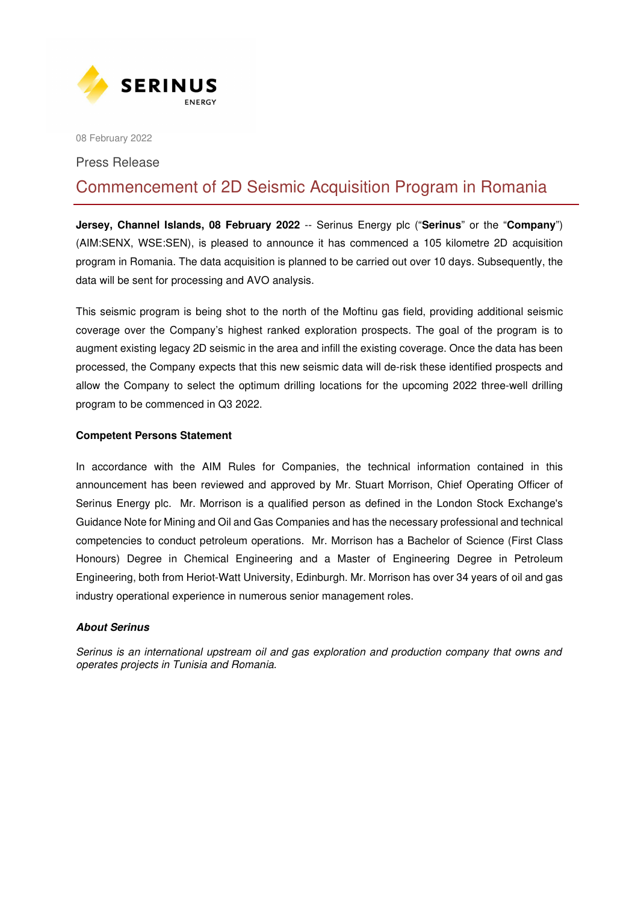

08 February 2022

## Press Release

# Commencement of 2D Seismic Acquisition Program in Romania

**Jersey, Channel Islands, 08 February 2022** -- Serinus Energy plc ("**Serinus**" or the "**Company**") (AIM:SENX, WSE:SEN), is pleased to announce it has commenced a 105 kilometre 2D acquisition program in Romania. The data acquisition is planned to be carried out over 10 days. Subsequently, the data will be sent for processing and AVO analysis.

This seismic program is being shot to the north of the Moftinu gas field, providing additional seismic coverage over the Company's highest ranked exploration prospects. The goal of the program is to augment existing legacy 2D seismic in the area and infill the existing coverage. Once the data has been processed, the Company expects that this new seismic data will de-risk these identified prospects and allow the Company to select the optimum drilling locations for the upcoming 2022 three-well drilling program to be commenced in Q3 2022.

# **Competent Persons Statement**

In accordance with the AIM Rules for Companies, the technical information contained in this announcement has been reviewed and approved by Mr. Stuart Morrison, Chief Operating Officer of Serinus Energy plc. Mr. Morrison is a qualified person as defined in the London Stock Exchange's Guidance Note for Mining and Oil and Gas Companies and has the necessary professional and technical competencies to conduct petroleum operations. Mr. Morrison has a Bachelor of Science (First Class Honours) Degree in Chemical Engineering and a Master of Engineering Degree in Petroleum Engineering, both from Heriot-Watt University, Edinburgh. Mr. Morrison has over 34 years of oil and gas industry operational experience in numerous senior management roles.

## **About Serinus**

*Serinus is an international upstream oil and gas exploration and production company that owns and operates projects in Tunisia and Romania.*